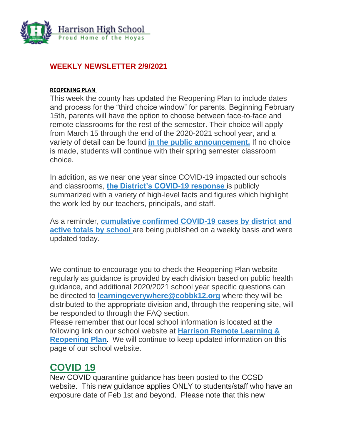

#### **WEEKLY NEWSLETTER 2/9/2021**

#### **REOPENING PLAN**

This week the county has updated the Reopening Plan to include dates and process for the "third choice window" for parents. Beginning February 15th, parents will have the option to choose between face-to-face and remote classrooms for the rest of the semester. Their choice will apply from March 15 through the end of the 2020-2021 school year, and a variety of detail can be found **[in the public announcement.](https://www.cobbk12.org/_ci/p/38885)** If no choice is made, students will continue with their spring semester classroom choice.

In addition, as we near one year since COVID-19 impacted our schools and classrooms, **[the District's COVID-19 response](https://www.cobbk12.org/_ci/p/38975)** is publicly summarized with a variety of high-level facts and figures which highlight the work led by our teachers, principals, and staff.

As a reminder, **[cumulative confirmed COVID-19 cases by district and](https://www.cobbk12.org/learningeverywhere/page/36826/covid-case-notification) [active totals by school](https://www.cobbk12.org/learningeverywhere/page/36826/covid-case-notification)** are being published on a weekly basis and were updated today.

We continue to encourage you to check the Reopening Plan website regularly as guidance is provided by each division based on public health guidance, and additional 2020/2021 school year specific questions can be directed to **[learningeverywhere@cobbk12.org](mailto:learningeverywhere@cobbk12.org)** where they will be distributed to the appropriate division and, through the reopening site, will be responded to through the FAQ section.

Please remember that our local school information is located at the following link on our school website at **[Harrison Remote Learning &](http://www.harrisonhigh.org/Remote-Learning-Information)  [Reopening Plan](http://www.harrisonhigh.org/Remote-Learning-Information).** We will continue to keep updated information on this page of our school website.

## **COVID 19**

New COVID quarantine guidance has been posted to the CCSD website. This new guidance applies ONLY to students/staff who have an exposure date of Feb 1st and beyond. Please note that this new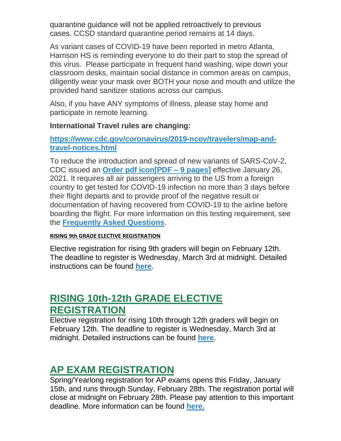quarantine guidance will not be applied retroactively to previous cases. CCSD standard quarantine period remains at 14 days.

As variant cases of COVID-19 have been reported in metro Atlanta, Harrison HS is reminding everyone to do their part to stop the spread of this virus. Please participate in frequent hand washing, wipe down your classroom desks, maintain social distance in common areas on campus, diligently wear your mask over BOTH your nose and mouth and utilize the provided hand sanitizer stations across our campus.

Also, if you have ANY symptoms of illness, please stay home and participate in remote learning.

#### **International Travel rules are changing:**

#### **[https://www.cdc.gov/coronavirus/2019-ncov/travelers/map-and](https://www.cdc.gov/coronavirus/2019-ncov/travelers/map-and-travel-notices.html)[travel-notices.html](https://www.cdc.gov/coronavirus/2019-ncov/travelers/map-and-travel-notices.html)**

To reduce the introduction and spread of new variants of SARS-CoV-2, CDC issued an **[Order pdf icon\[PDF –](https://www.cdc.gov/quarantine/pdf/global-airline-testing-order_2021-01-2_R3-signed-encrypted-p.pdf) 9 pages]** effective January 26, 2021. It requires all air passengers arriving to the US from a foreign country to get tested for COVID-19 infection no more than 3 days before their flight departs and to provide proof of the negative result or documentation of having recovered from COVID-19 to the airline before boarding the flight. For more information on this testing requirement, see the **[Frequently Asked Questions](https://www.cdc.gov/coronavirus/2019-ncov/travelers/testing-international-air-travelers.html)**.

#### **RISING 9th GRADE ELECTIVE REGISTRATION**

Elective registration for rising 9th graders will begin on February 12th. The deadline to register is Wednesday, March 3rd at midnight. Detailed instructions can be found **[here](https://cobbk12org-my.sharepoint.com/:b:/g/personal/lucia_poole_cobbk12_org/EbcMCIo9PZlGo552wDBLznABss7orLhcGKkqaYVgrRDbMg?e=LnEHju)**.

## **RISING 10th-12th GRADE ELECTIVE REGISTRATION**

Elective registration for rising 10th through 12th graders will begin on February 12th. The deadline to register is Wednesday, March 3rd at midnight. Detailed instructions can be found **[here](https://cobbk12org-my.sharepoint.com/:b:/g/personal/lucia_poole_cobbk12_org/EYfiEw_Pzp1JibPvq0pWPSUBdIOipbIWo3qRZYQR-XGSDw?e=4FkxdN)**.

## **AP EXAM REGISTRATION**

Spring/Yearlong registration for AP exams opens this Friday, January 15th, and runs through Sunday, February 28th. The registration portal will close at midnight on February 28th. Please pay attention to this important deadline. More information can be found **[here.](https://cobbk12org-my.sharepoint.com/:b:/g/personal/lucia_poole_cobbk12_org/EUR7QnkZa9VHs7epS90zxR4Bg_yQembiM6_UetyqbKoLGQ?e=af3Ra6)**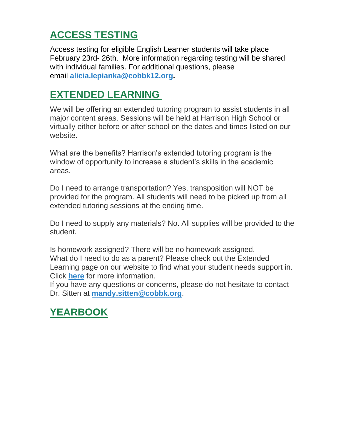# **ACCESS TESTING**

Access testing for eligible English Learner students will take place February 23rd- 26th. More information regarding testing will be shared with individual families. For additional questions, please email **[alicia.lepianka@cobbk12.org.](mailto:alicia.lepianka@cobbk12.org)**

# **EXTENDED LEARNING**

We will be offering an extended tutoring program to assist students in all major content areas. Sessions will be held at Harrison High School or virtually either before or after school on the dates and times listed on our website.

What are the benefits? Harrison's extended tutoring program is the window of opportunity to increase a student's skills in the academic areas.

Do I need to arrange transportation? Yes, transposition will NOT be provided for the program. All students will need to be picked up from all extended tutoring sessions at the ending time.

Do I need to supply any materials? No. All supplies will be provided to the student.

Is homework assigned? There will be no homework assigned. What do I need to do as a parent? Please check out the Extended Learning page on our website to find what your student needs support in. Click **[here](http://www.cobblearning.net/msitten2212/)** for more information.

If you have any questions or concerns, please do not hesitate to contact Dr. Sitten at **[mandy.sitten@cobbk.org](mailto:mandy.sitten@cobbk.org)**.

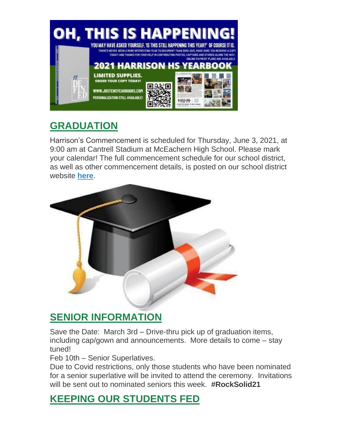

# **GRADUATION**

Harrison's Commencement is scheduled for Thursday, June 3, 2021, at 9:00 am at Cantrell Stadium at McEachern High School. Please mark your calendar! The full commencement schedule for our school district, as well as other commencement details, is posted on our school district website **[here](https://www.cobbk12.org/_ci/p/38938)**.



## **SENIOR INFORMATION**

Save the Date: March 3rd – Drive-thru pick up of graduation items, including cap/gown and announcements. More details to come – stay tuned!

Feb 10th – Senior Superlatives.

Due to Covid restrictions, only those students who have been nominated for a senior superlative will be invited to attend the ceremony. Invitations will be sent out to nominated seniors this week. **#RockSolid21**

## **KEEPING OUR STUDENTS FED**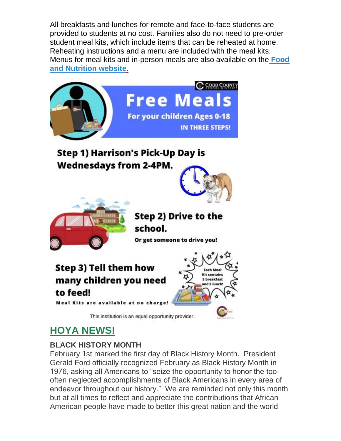All breakfasts and lunches for remote and face-to-face students are provided to students at no cost. Families also do not need to pre-order student meal kits, which include items that can be reheated at home. Reheating instructions and a menu are included with the meal kits. Menus for meal kits and in-person meals are also available on the **[Food](http://info.cobbk12.org/centraloffice/foodservices/indexMenus.aspx)  [and Nutrition website](http://info.cobbk12.org/centraloffice/foodservices/indexMenus.aspx)**[.](http://info.cobbk12.org/centraloffice/foodservices/indexMenus.aspx)



# **HOYA NEWS!**

### **BLACK HISTORY MONTH**

February 1st marked the first day of Black History Month. President Gerald Ford officially recognized February as Black History Month in 1976, asking all Americans to "seize the opportunity to honor the toooften neglected accomplishments of Black Americans in every area of endeavor throughout our history." We are reminded not only this month but at all times to reflect and appreciate the contributions that African American people have made to better this great nation and the world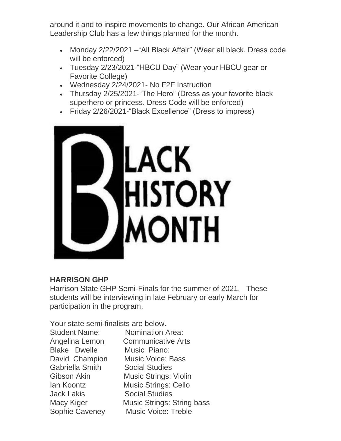around it and to inspire movements to change. Our African American Leadership Club has a few things planned for the month.

- Monday 2/22/2021 –"All Black Affair" (Wear all black. Dress code will be enforced)
- Tuesday 2/23/2021-"HBCU Day" (Wear your HBCU gear or Favorite College)
- Wednesday 2/24/2021- No F2F Instruction
- Thursday 2/25/2021-"The Hero" (Dress as your favorite black superhero or princess. Dress Code will be enforced)
- Friday 2/26/2021-"Black Excellence" (Dress to impress)



#### **HARRISON GHP**

Harrison State GHP Semi-Finals for the summer of 2021. These students will be interviewing in late February or early March for participation in the program.

Your state semi-finalists are below.

Nomination Area: Communicative Arts Music Piano: Music Voice: Bass **Social Studies** Music Strings: Violin Music Strings: Cello **Social Studies** Music Strings: String bass Music Voice: Treble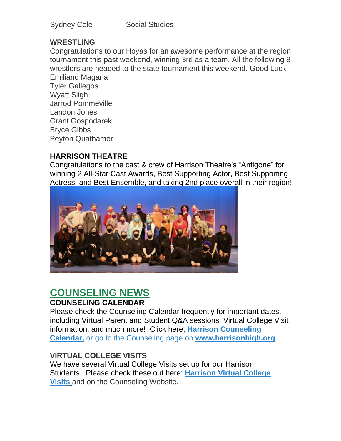| <b>Sydney Cole</b> |  |
|--------------------|--|
|--------------------|--|

#### **WRESTLING**

Congratulations to our Hoyas for an awesome performance at the region tournament this past weekend, winning 3rd as a team. All the following 8 wrestlers are headed to the state tournament this weekend. Good Luck! Emiliano Magana

Tyler Gallegos Wyatt Sligh Jarrod Pommeville Landon Jones Grant Gospodarek Bryce Gibbs Peyton Quathamer

#### **HARRISON THEATRE**

Congratulations to the cast & crew of Harrison Theatre's "Antigone" for winning 2 All-Star Cast Awards, Best Supporting Actor, Best Supporting Actress, and Best Ensemble, and taking 2nd place overall in their region!



#### **COUNSELING NEWS COUNSELING CALENDAR**

Please check the Counseling Calendar frequently for important dates, including Virtual Parent and Student Q&A sessions, Virtual College Visit information, and much more! Click here, **[Harrison Counseling](https://calendar.google.com/calendar/embed?src=tasr4q5spailsj1itftjdtn6mk%40group.calendar.google.com&ctz=America%2FNew_York)  [Calendar,](https://calendar.google.com/calendar/embed?src=tasr4q5spailsj1itftjdtn6mk%40group.calendar.google.com&ctz=America%2FNew_York)** or go to the Counseling page on **[www.harrisonhigh.org](http://www.harrisonhigh.org/)**.

#### **VIRTUAL COLLEGE VISITS**

We have several Virtual College Visits set up for our Harrison Students. Please check these out here: **[Harrison Virtual College](https://cobbk12org-my.sharepoint.com/:x:/g/personal/leanna_kor_cobbk12_org/EWP6BGgLdCBOvhv5RDRuCVwBqHA2jXXmnAUqr7hXgxEU7w?rtime=t-E10MJN2Eg)  [Visits](https://cobbk12org-my.sharepoint.com/:x:/g/personal/leanna_kor_cobbk12_org/EWP6BGgLdCBOvhv5RDRuCVwBqHA2jXXmnAUqr7hXgxEU7w?rtime=t-E10MJN2Eg)** and on the Counseling Website.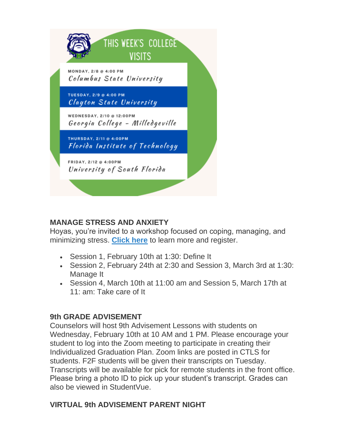

#### **MANAGE STRESS AND ANXIETY**

Hoyas, you're invited to a workshop focused on coping, managing, and minimizing stress. **[Click here](https://drive.google.com/file/d/1o3Nz5NeyGCzuutzSIJDfvUIp52NC12wU/view?usp=sharing)** to learn more and register.

- Session 1, February 10th at 1:30: Define It
- Session 2, February 24th at 2:30 and Session 3, March 3rd at 1:30: Manage It
- Session 4, March 10th at 11:00 am and Session 5, March 17th at 11: am: Take care of It

#### **9th GRADE ADVISEMENT**

Counselors will host 9th Advisement Lessons with students on Wednesday, February 10th at 10 AM and 1 PM. Please encourage your student to log into the Zoom meeting to participate in creating their Individualized Graduation Plan. Zoom links are posted in CTLS for students. F2F students will be given their transcripts on Tuesday. Transcripts will be available for pick for remote students in the front office. Please bring a photo ID to pick up your student's transcript. Grades can also be viewed in StudentVue.

#### **VIRTUAL 9th ADVISEMENT PARENT NIGHT**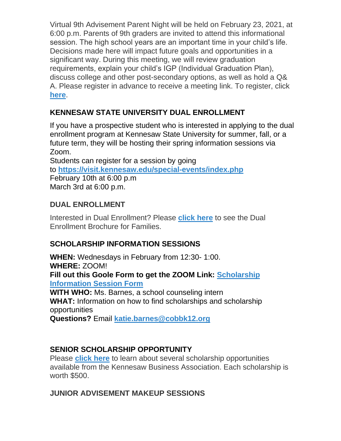Virtual 9th Advisement Parent Night will be held on February 23, 2021, at 6:00 p.m. Parents of 9th graders are invited to attend this informational session. The high school years are an important time in your child's life. Decisions made here will impact future goals and opportunities in a significant way. During this meeting, we will review graduation requirements, explain your child's IGP (Individual Graduation Plan), discuss college and other post-secondary options, as well as hold a Q& A. Please register in advance to receive a meeting link. To register, click **[here](https://forms.office.com/Pages/ResponsePage.aspx?id=-x3OL5-ROEmquMR_D8kYLWW85uR8aLBInItPvCDivwpUN1JZTllNODRMTEpLTTZJVVlGWkJSM0ZYUy4u)**.

### **KENNESAW STATE UNIVERSITY DUAL ENROLLMENT**

If you have a prospective student who is interested in applying to the dual enrollment program at Kennesaw State University for summer, fall, or a future term, they will be hosting their spring information sessions via Zoom.

Students can register for a session by going to **<https://visit.kennesaw.edu/special-events/index.php>** February 10th at 6:00 p.m March 3rd at 6:00 p.m.

#### **DUAL ENROLLMENT**

Interested in Dual Enrollment? Please **[click here](https://drive.google.com/file/d/1eUb30z5062S_msnROjXY7DklX_dBlHKb/view)** to see the Dual Enrollment Brochure for Families.

#### **SCHOLARSHIP INFORMATION SESSIONS**

**WHEN:** Wednesdays in February from 12:30- 1:00. **WHERE:** ZOOM! **Fill out this Goole Form to get the ZOOM Link: [Scholarship](https://forms.gle/fbX6yjL1ikr9x4Ro8)  [Information Session Form](https://forms.gle/fbX6yjL1ikr9x4Ro8) WITH WHO:** Ms. Barnes, a school counseling intern **WHAT:** Information on how to find scholarships and scholarship opportunities **Questions?** Email **[katie.barnes@cobbk12.org](mailto:katie.barnes@cobbk12.org)**

#### **SENIOR SCHOLARSHIP OPPORTUNITY**

Please **[click here](https://kennesawbusiness.org/about-kba/scholarships/)** to learn about several scholarship opportunities available from the Kennesaw Business Association. Each scholarship is worth \$500.

#### **JUNIOR ADVISEMENT MAKEUP SESSIONS**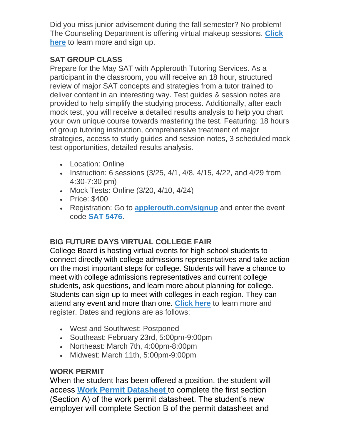Did you miss junior advisement during the fall semester? No problem! The Counseling Department is offering virtual makeup sessions. **[Click](https://drive.google.com/file/d/1EEkwRe9K_vRDSs893d6iQK9uTLrFQ0H0/view)  [here](https://drive.google.com/file/d/1EEkwRe9K_vRDSs893d6iQK9uTLrFQ0H0/view)** to learn more and sign up.

### **SAT GROUP CLASS**

Prepare for the May SAT with Applerouth Tutoring Services. As a participant in the classroom, you will receive an 18 hour, structured review of major SAT concepts and strategies from a tutor trained to deliver content in an interesting way. Test guides & session notes are provided to help simplify the studying process. Additionally, after each mock test, you will receive a detailed results analysis to help you chart your own unique course towards mastering the test. Featuring: 18 hours of group tutoring instruction, comprehensive treatment of major strategies, access to study guides and session notes, 3 scheduled mock test opportunities, detailed results analysis.

- Location: Online
- Instruction: 6 sessions (3/25, 4/1, 4/8, 4/15, 4/22, and 4/29 from 4:30-7:30 pm)
- Mock Tests: Online (3/20, 4/10, 4/24)
- Price: \$400
- Registration: Go to **[applerouth.com/signup](http://www.applerouth.com/signup)** and enter the event code **SAT 5476**.

### **BIG FUTURE DAYS VIRTUAL COLLEGE FAIR**

College Board is hosting virtual events for high school students to connect directly with college admissions representatives and take action on the most important steps for college. Students will have a chance to meet with college admissions representatives and current college students, ask questions, and learn more about planning for college. Students can sign up to meet with colleges in each region. They can attend any event and more than one. **[Click here](https://pages.collegeboard.org/big-future-days?SFMC_cid=EM438518-&rid=47761625)** to learn more and register. Dates and regions are as follows:

- West and Southwest: Postponed
- Southeast: February 23rd, 5:00pm-9:00pm
- Northeast: March 7th, 4:00pm-8:00pm
- Midwest: March 11th, 5:00pm-9:00pm

### **WORK PERMIT**

When the student has been offered a position, the student will access **[Work Permit Datasheet](https://nam03.safelinks.protection.outlook.com/?url=https%3A%2F%2Fwww.dol.state.ga.us%2FWS4-MW5%2Fcics.jsp%3FTRANSID%3DWP17%26FRMNAME%3DWP17&data=02%7C01%7CAudra.Skalski%40cobbk12.org%7C856357e8e49d4d50041d08d80cb84415%7C2fce1dfb919f4938aab8c47f0fc9182d%7C0%7C1%7C637273332845584845&sdata=sYK4oD2g8pZe2iY4gQXjSHJq%2FGMstnRRcs7%2F3kUZoWc%3D&reserved=0)** to complete the first section (Section A) of the work permit datasheet. The student's new employer will complete Section B of the permit datasheet and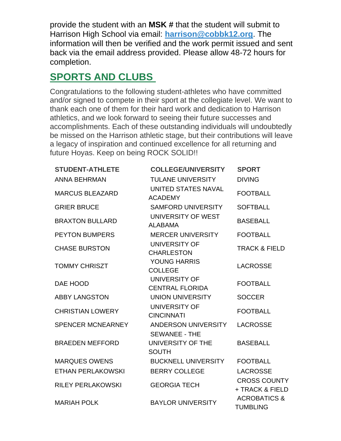provide the student with an **MSK #** that the student will submit to Harrison High School via email: **[harrison@cobbk12.org](mailto:harrison@cobbk12.org)**. The information will then be verified and the work permit issued and sent back via the email address provided. Please allow 48-72 hours for completion.

# **SPORTS AND CLUBS**

Congratulations to the following student-athletes who have committed and/or signed to compete in their sport at the collegiate level. We want to thank each one of them for their hard work and dedication to Harrison athletics, and we look forward to seeing their future successes and accomplishments. Each of these outstanding individuals will undoubtedly be missed on the Harrison athletic stage, but their contributions will leave a legacy of inspiration and continued excellence for all returning and future Hoyas. Keep on being ROCK SOLID!!

| <b>STUDENT-ATHLETE</b>   | <b>COLLEGE/UNIVERSITY</b>                    | <b>SPORT</b>                               |
|--------------------------|----------------------------------------------|--------------------------------------------|
| ANNA BEHRMAN             | <b>TULANE UNIVERSITY</b>                     | <b>DIVING</b>                              |
| <b>MARCUS BLEAZARD</b>   | <b>UNITED STATES NAVAL</b><br><b>ACADEMY</b> | <b>FOOTBALL</b>                            |
| <b>GRIER BRUCE</b>       | <b>SAMFORD UNIVERSITY</b>                    | <b>SOFTBALL</b>                            |
| <b>BRAXTON BULLARD</b>   | UNIVERSITY OF WEST<br><b>ALABAMA</b>         | <b>BASEBALL</b>                            |
| <b>PEYTON BUMPERS</b>    | <b>MERCER UNIVERSITY</b>                     | <b>FOOTBALL</b>                            |
| <b>CHASE BURSTON</b>     | UNIVERSITY OF<br><b>CHARLESTON</b>           | <b>TRACK &amp; FIELD</b>                   |
| <b>TOMMY CHRISZT</b>     | <b>YOUNG HARRIS</b><br><b>COLLEGE</b>        | <b>LACROSSE</b>                            |
| DAE HOOD                 | UNIVERSITY OF<br><b>CENTRAL FLORIDA</b>      | <b>FOOTBALL</b>                            |
| <b>ABBY LANGSTON</b>     | UNION UNIVERSITY                             | <b>SOCCER</b>                              |
| <b>CHRISTIAN LOWERY</b>  | UNIVERSITY OF<br><b>CINCINNATI</b>           | <b>FOOTBALL</b>                            |
| <b>SPENCER MCNEARNEY</b> | ANDERSON UNIVERSITY<br><b>SEWANEE - THE</b>  | <b>LACROSSE</b>                            |
| <b>BRAEDEN MEFFORD</b>   | UNIVERSITY OF THE<br><b>SOUTH</b>            | <b>BASEBALL</b>                            |
| <b>MARQUES OWENS</b>     | <b>BUCKNELL UNIVERSITY</b>                   | <b>FOOTBALL</b>                            |
| <b>ETHAN PERLAKOWSKI</b> | <b>BERRY COLLEGE</b>                         | <b>LACROSSE</b>                            |
| <b>RILEY PERLAKOWSKI</b> | <b>GEORGIA TECH</b>                          | <b>CROSS COUNTY</b><br>+ TRACK & FIELD     |
| <b>MARIAH POLK</b>       | <b>BAYLOR UNIVERSITY</b>                     | <b>ACROBATICS &amp;</b><br><b>TUMBLING</b> |